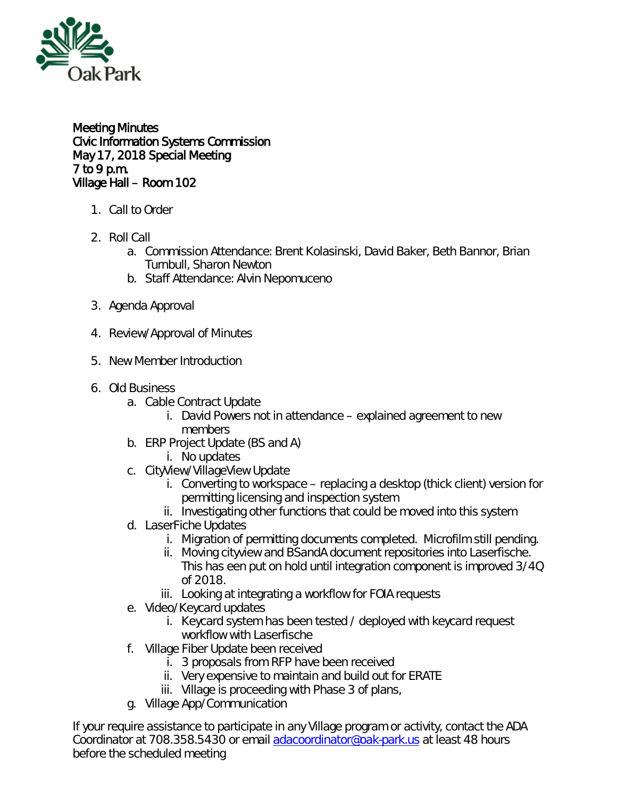

Meeting Minutes Civic Information Systems Commission May 17, 2018 Special Meeting 7 to 9 p.m. Village Hall – Room 102

- 1. Call to Order
- 2. Roll Call
	- a. Commission Attendance: Brent Kolasinski, David Baker, Beth Bannor, Brian Turnbull, Sharon Newton
	- b. Staff Attendance: Alvin Nepomuceno
- 3. Agenda Approval
- 4. Review/Approval of Minutes
- 5. New Member Introduction
- 6. Old Business
	- a. Cable Contract Update
		- i. David Powers not in attendance explained agreement to new members
	- b. ERP Project Update (BS and A)
		- i. No updates
	- c. CityView/VillageView Update
		- i. Converting to workspace replacing a desktop (thick client) version for permitting licensing and inspection system
		- ii. Investigating other functions that could be moved into this system
	- d. LaserFiche Updates
		- i. Migration of permitting documents completed. Microfilm still pending.
		- ii. Moving cityview and BSandA document repositories into Laserfische. This has een put on hold until integration component is improved 3/4Q of 2018.
		- iii. Looking at integrating a workflow for FOIA requests
	- e. Video/Keycard updates
		- i. Keycard system has been tested / deployed with keycard request workflow with Laserfische
	- f. Village Fiber Update been received
		- i. 3 proposals from RFP have been received
		- ii. Very expensive to maintain and build out for ERATE
		- iii. Village is proceeding with Phase 3 of plans,
	- g. Village App/Communication

If your require assistance to participate in any Village program or activity, contact the ADA Coordinator at 708.358.5430 or email [adacoordinator@oak-park.us](mailto:adacoordinator@oak-park.us) at least 48 hours before the scheduled meeting